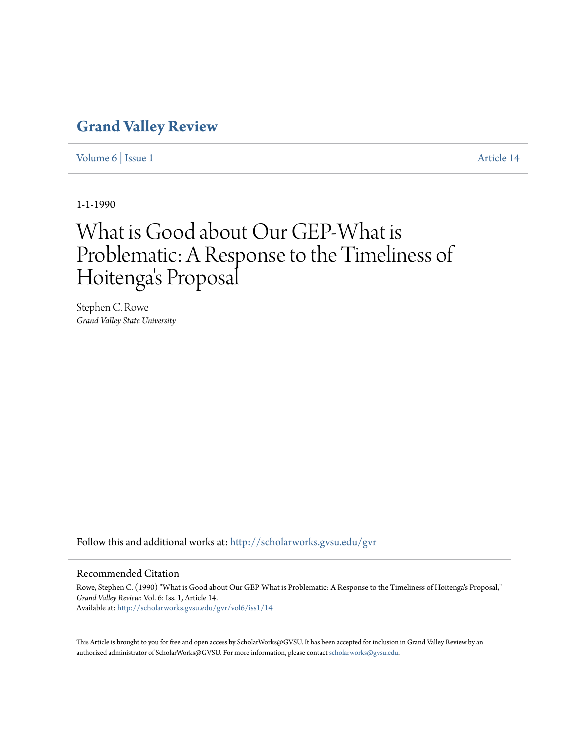## **[Grand Valley Review](http://scholarworks.gvsu.edu/gvr?utm_source=scholarworks.gvsu.edu%2Fgvr%2Fvol6%2Fiss1%2F14&utm_medium=PDF&utm_campaign=PDFCoverPages)**

[Volume 6](http://scholarworks.gvsu.edu/gvr/vol6?utm_source=scholarworks.gvsu.edu%2Fgvr%2Fvol6%2Fiss1%2F14&utm_medium=PDF&utm_campaign=PDFCoverPages) | [Issue 1](http://scholarworks.gvsu.edu/gvr/vol6/iss1?utm_source=scholarworks.gvsu.edu%2Fgvr%2Fvol6%2Fiss1%2F14&utm_medium=PDF&utm_campaign=PDFCoverPages) [Article 14](http://scholarworks.gvsu.edu/gvr/vol6/iss1/14?utm_source=scholarworks.gvsu.edu%2Fgvr%2Fvol6%2Fiss1%2F14&utm_medium=PDF&utm_campaign=PDFCoverPages)

1-1-1990

## What is Good about Our GEP-What is Problematic: A Response to the Timeliness of Hoitenga 's Proposal

Stephen C. Rowe *Grand Valley State University*

Follow this and additional works at: [http://scholarworks.gvsu.edu/gvr](http://scholarworks.gvsu.edu/gvr?utm_source=scholarworks.gvsu.edu%2Fgvr%2Fvol6%2Fiss1%2F14&utm_medium=PDF&utm_campaign=PDFCoverPages)

## Recommended Citation

Rowe, Stephen C. (1990) "What is Good about Our GEP-What is Problematic: A Response to the Timeliness of Hoitenga's Proposal," *Grand Valley Review*: Vol. 6: Iss. 1, Article 14. Available at: [http://scholarworks.gvsu.edu/gvr/vol6/iss1/14](http://scholarworks.gvsu.edu/gvr/vol6/iss1/14?utm_source=scholarworks.gvsu.edu%2Fgvr%2Fvol6%2Fiss1%2F14&utm_medium=PDF&utm_campaign=PDFCoverPages)

This Article is brought to you for free and open access by ScholarWorks@GVSU. It has been accepted for inclusion in Grand Valley Review by an authorized administrator of ScholarWorks@GVSU. For more information, please contact [scholarworks@gvsu.edu.](mailto:scholarworks@gvsu.edu)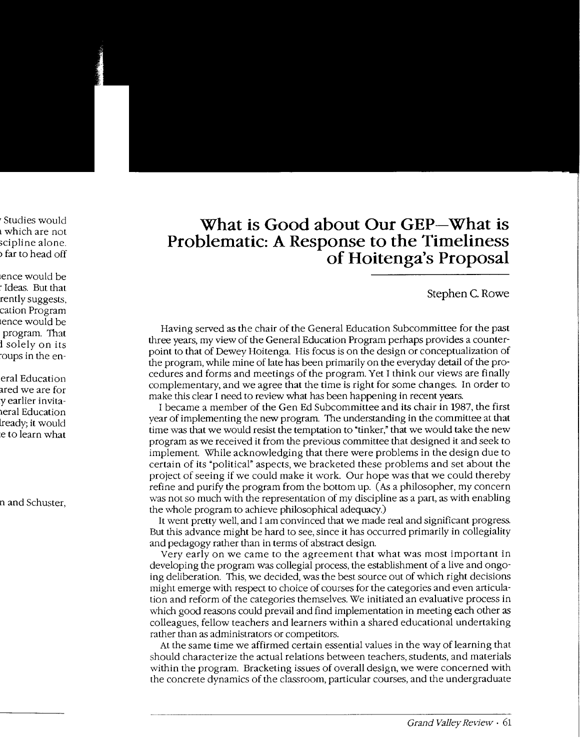## **What is Good about Our GEP-What is Problematic: A Response to the Timeliness of Hoitenga's Proposal**

Stephen C. Rowe

Having served as the chair of the General Education Subcommittee for the past three years, my view of the General Education Program perhaps provides a counterpoint to that of Dewey Hoitenga. His focus is on the design or conceptualization of the program, while mine of late has been primarily on the everyday detail of the procedures and forms and meetings of the program. Yet I think our views are finally complementary, and we agree that the time is right for some changes. In order to make this clear I need to review what has been happening in recent years.

I became a member of the Gen Ed Subcommittee and its chair in 1987, the first year of implementing the new program. The understanding in the committee at that time was that we would resist the temptation to "tinker," that we would take the new program as we received it from the previous committee that designed it and seek to implement. While acknowledging that there were problems in the design due to certain of its "political" aspects, we bracketed these problems and set about the project of seeing if we could make it work. Our hope was that we could thereby refine and purify the program from the bottom up. (As a philosopher, my concern was not so much with the representation of my discipline as a part, as with enabling the whole program to achieve philosophical adequacy.)

It went pretty well, and I am convinced that we made real and significant progress. But this advance might be hard to see, since it has occurred primarily in collegiality and pedagogy rather than in terms of abstract design.

Very early on we came to the agreement that what was most important in developing the program was collegial process, the establishment of a live and ongoing deliberation. This, we decided, was the best source out of which right decisions might emerge with respect to choice of courses for the categories and even articulation and reform of the categories themselves. We initiated an evaluative process in which good reasons could prevail and find implementation in meeting each other as colleagues, fellow teachers and learners within a shared educational undertaking rather than as administrators or competitors.

At the same time we affirmed certain essential values in the way of learning that should characterize the actual relations between teachers, students, and materials within the program. Bracketing issues of overall design, we were concerned with the concrete dynamics of the classroom, particular courses, and the undergraduate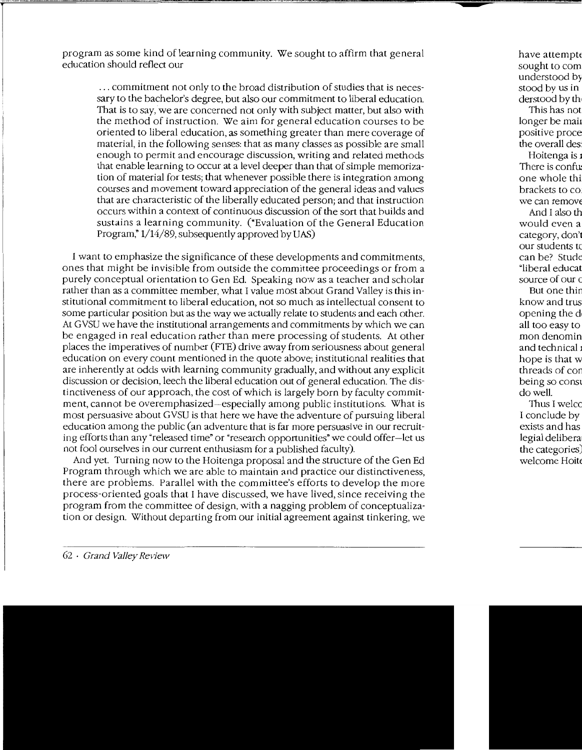program as some kind of learning community. We sought to affirm that general education should reflect our

... commitment not only to the broad distribution of studies that is necessary to the bachelor's degree, but also our commitment to liberal education. That is to say, we are concerned not only with subject matter, but also with the method of instruction. \Ve aim for general education courses to be oriented to liberal education, as something greater than mere coverage of material, in the following senses: that as many classes as possible are small enough to permit and encourage discussion, writing and related methods that enable learning to occur at a level deeper than that of simple memorization of material for tests; that whenever possible there is integration among courses and movement toward appreciation of the general ideas and values that are characteristic of the liberally educated person; and that instruction occurs within a context of continuous discussion of the sort that builds and sustains a learning community. ("Evaluation of the General Education Program," 1/14/89, subsequently approved by UAS)

I want to emphasize the significance of these developments and commitments, ones that might be invisible from outside the committee proceedings or from a purely conceptual orientation to Gen Ed. Speaking now as a teacher and scholar rather than as a committee member, what I value most about Grand Valley is this institutional commitment to liberal education, not so much as intellectual consent to some particular position but as the way we actually relate to students and each other. At GVSU we have the institutional arrangements and commitments by which we can be engaged in real education rather than mere processing of students. At other places the imperatives of number (FTE) drive away from seriousness about general education on every count mentioned in the quote above; institutional realities that are inherently at odds with learning community gradually, and without any explicit discussion or decision, leech the liberal education out of general education. The distinctiveness of our approach, the cost of which is largely born by faculty commitment, cannot be overemphasized-especially among public institutions. What is most persuasive about GVSU is that here we have the adventure of pursuing liberal education among the public (an adventure that is far more persuasive in our recruiting efforts than any"released time" or "research opportunities" we could offer-let us not fool ourselves in our current enthusiasm for a published faculty).

And yet. Turning now to the Hoitenga proposal and the structure of the Gen Ed Program through which we are able to maintain and practice our distinctiveness, there are problems. Parallel with the committee's efforts to develop the more process-oriented goals that I have discussed, we have lived, since receiving the program from the committee of design, with a nagging problem of conceptualization or design. Without departing from our initial agreement against tinkering, we